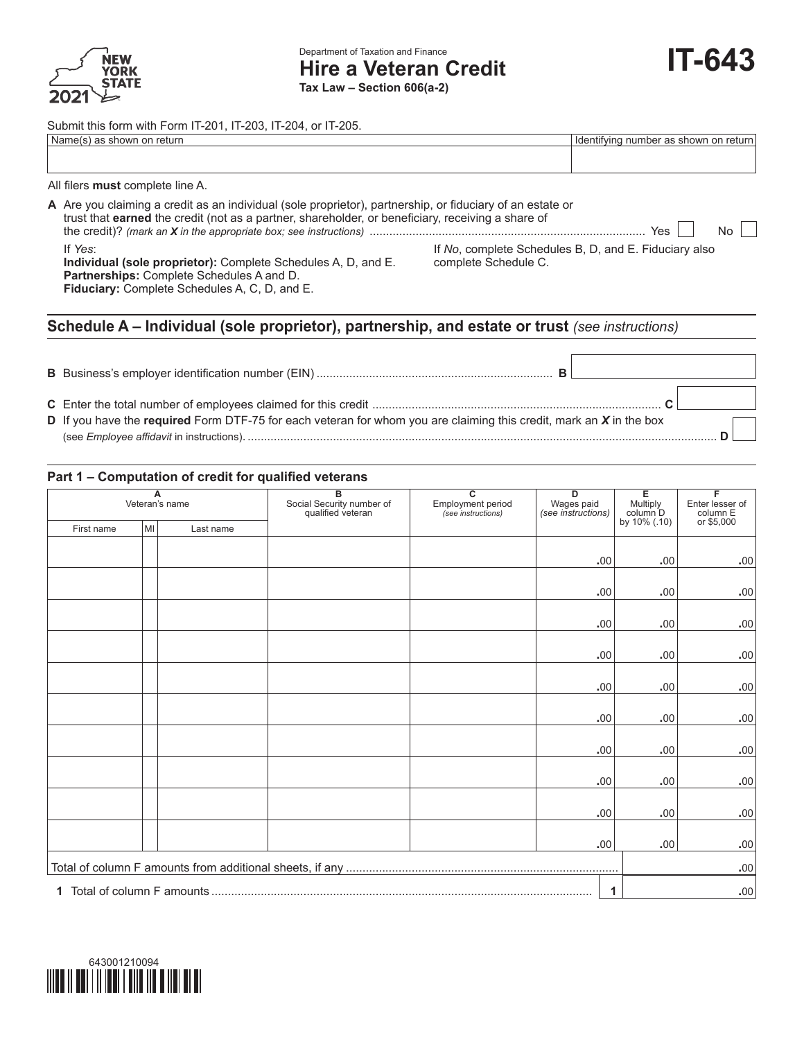

Submit this form with Form IT-201, IT-203, IT-204, or IT-205.

| Name(s) as shown on return       | I Identifying number as shown on return |
|----------------------------------|-----------------------------------------|
|                                  |                                         |
|                                  |                                         |
| All filers must complete line A. |                                         |

| A Are you claiming a credit as an individual (sole proprietor), partnership, or fiduciary of an estate or<br>trust that earned the credit (not as a partner, shareholder, or beneficiary, receiving a share of | $\overline{N_{\mathcal{O}}}$<br>Yes $\vert$                                   |
|----------------------------------------------------------------------------------------------------------------------------------------------------------------------------------------------------------------|-------------------------------------------------------------------------------|
| If Yes:<br>Individual (sole proprietor): Complete Schedules A, D, and E.<br><b>Partnerships:</b> Complete Schedules A and D.<br><b>Fiduciary:</b> Complete Schedules A, C, D, and E.                           | If No, complete Schedules B, D, and E. Fiduciary also<br>complete Schedule C. |

# **Schedule A – Individual (sole proprietor), partnership, and estate or trust** *(see instructions)*

| в                                                                                                                     |  |
|-----------------------------------------------------------------------------------------------------------------------|--|
| D If you have the required Form DTF-75 for each veteran for whom you are claiming this credit, mark an $X$ in the box |  |
|                                                                                                                       |  |

#### **Part 1 – Computation of credit for qualified veterans**

| A<br>Veteran's name |    | в<br>Social Security number of<br>qualified veteran | $\overline{\mathbf{c}}$<br><b>Employment period</b><br>(see instructions) | D<br>Wages paid<br>(see instructions) | Е<br>Multiply<br>column D | F<br>Enter lesser of<br>column E |            |
|---------------------|----|-----------------------------------------------------|---------------------------------------------------------------------------|---------------------------------------|---------------------------|----------------------------------|------------|
| First name          | MI | Last name                                           |                                                                           |                                       |                           | by 10% (.10)                     | or \$5,000 |
|                     |    |                                                     |                                                                           |                                       |                           |                                  |            |
|                     |    |                                                     |                                                                           |                                       | .00                       | .00                              | .00        |
|                     |    |                                                     |                                                                           |                                       |                           |                                  |            |
|                     |    |                                                     |                                                                           |                                       | .00                       | .00                              | .00        |
|                     |    |                                                     |                                                                           |                                       | .00                       | .00                              | .00        |
|                     |    |                                                     |                                                                           |                                       |                           |                                  |            |
|                     |    |                                                     |                                                                           |                                       | .00                       | .00                              | .00        |
|                     |    |                                                     |                                                                           |                                       |                           |                                  |            |
|                     |    |                                                     |                                                                           |                                       | .00                       | .00.                             | .00        |
|                     |    |                                                     |                                                                           |                                       |                           |                                  |            |
|                     |    |                                                     |                                                                           |                                       | .00                       | .00                              | .00        |
|                     |    |                                                     |                                                                           |                                       | .00                       | .00                              | .00        |
|                     |    |                                                     |                                                                           |                                       |                           |                                  |            |
|                     |    |                                                     |                                                                           |                                       | .00                       | .00                              | .00        |
|                     |    |                                                     |                                                                           |                                       |                           |                                  |            |
|                     |    |                                                     |                                                                           |                                       | .00                       | .00                              | .00        |
|                     |    |                                                     |                                                                           |                                       | .00                       | .00                              | .00        |
|                     |    |                                                     |                                                                           |                                       | .00                       |                                  |            |
|                     |    |                                                     |                                                                           | $\mathbf{1}$                          | .00.                      |                                  |            |

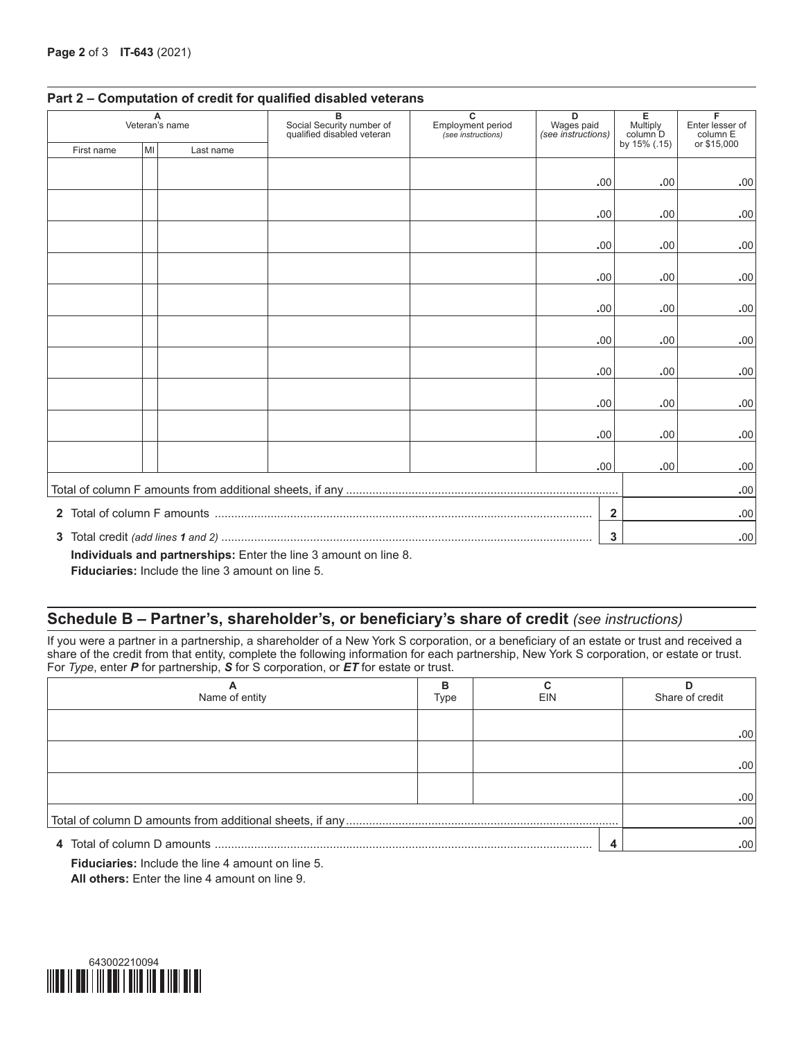| A<br>Veteran's name |              | в<br>Social Security number of<br>qualified disabled veteran | $\overline{c}$<br>D<br><b>Employment period</b><br>Wages paid<br>(see instructions)<br>(see instructions) |  | Е<br>Multiply<br>column D | F<br>Enter lesser of<br>column E |             |
|---------------------|--------------|--------------------------------------------------------------|-----------------------------------------------------------------------------------------------------------|--|---------------------------|----------------------------------|-------------|
| First name          | MI           | Last name                                                    |                                                                                                           |  |                           | by 15% (.15)                     | or \$15,000 |
|                     |              |                                                              |                                                                                                           |  |                           |                                  |             |
|                     |              |                                                              |                                                                                                           |  | .00                       | .00.                             | .00         |
|                     |              |                                                              |                                                                                                           |  | .00                       | .00.                             | .00         |
|                     |              |                                                              |                                                                                                           |  | .00                       | .00.                             | .00.        |
|                     |              |                                                              |                                                                                                           |  |                           |                                  |             |
|                     |              |                                                              |                                                                                                           |  | .00                       | .00.                             | .00.        |
|                     |              |                                                              |                                                                                                           |  | .00                       | .00.                             | .00         |
|                     |              |                                                              |                                                                                                           |  | .00                       | .00.                             | .00         |
|                     |              |                                                              |                                                                                                           |  | .00                       | .00.                             | .00.        |
|                     |              |                                                              |                                                                                                           |  | .00                       | .00.                             | .00         |
|                     |              |                                                              |                                                                                                           |  | .00                       | .00.                             | .00.        |
|                     |              |                                                              |                                                                                                           |  |                           |                                  |             |
|                     |              |                                                              |                                                                                                           |  | .00                       | .00.                             | .00         |
|                     |              |                                                              |                                                                                                           |  |                           |                                  | .00         |
|                     | $\mathbf{2}$ |                                                              |                                                                                                           |  | .00                       |                                  |             |
|                     | 3            |                                                              |                                                                                                           |  |                           |                                  | .00.        |

#### **Part 2 – Computation of credit for qualified disabled veterans**

**Individuals and partnerships:** Enter the line 3 amount on line 8.

**Fiduciaries:** Include the line 3 amount on line 5.

## **Schedule B – Partner's, shareholder's, or beneficiary's share of credit** *(see instructions)*

If you were a partner in a partnership, a shareholder of a New York S corporation, or a beneficiary of an estate or trust and received a share of the credit from that entity, complete the following information for each partnership, New York S corporation, or estate or trust. For *Type*, enter *P* for partnership, *S* for S corporation, or *ET* for estate or trust.

| Name of entity | в<br>Type | <b>EIN</b> | Share of credit |
|----------------|-----------|------------|-----------------|
|                |           |            | .00.            |
|                |           |            | .00.            |
|                |           |            | .00.            |
|                |           |            | .00             |
|                |           |            | .00             |

**Fiduciaries:** Include the line 4 amount on line 5. **All others:** Enter the line 4 amount on line 9.